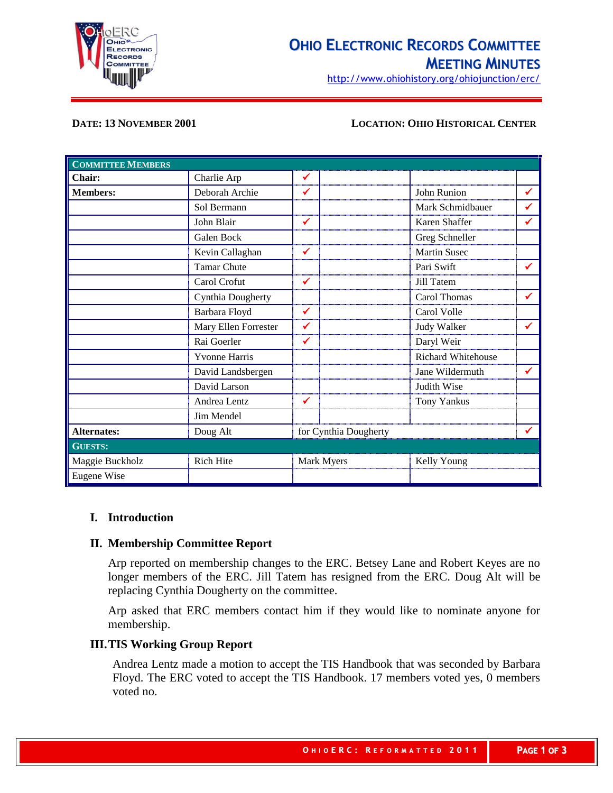

# **OHIO ELECTRONIC RECORDS COMMITTEE MEETING MINUTES**

http://www.ohiohistory.org/ohiojunction/erc/

#### **DATE: 13 NOVEMBER 2001 LOCATION: OHIO HISTORICAL CENTER**

| <b>COMMITTEE MEMBERS</b> |                      |                       |                     |              |
|--------------------------|----------------------|-----------------------|---------------------|--------------|
| Chair:                   | Charlie Arp          | ✔                     |                     |              |
| <b>Members:</b>          | Deborah Archie       | ✔                     | John Runion         | ✔            |
|                          | Sol Bermann          |                       | Mark Schmidbauer    | ✔            |
|                          | John Blair           | ✔                     | Karen Shaffer       | ✔            |
|                          | Galen Bock           |                       | Greg Schneller      |              |
|                          | Kevin Callaghan      | $\checkmark$          | <b>Martin Susec</b> |              |
|                          | <b>Tamar Chute</b>   |                       | Pari Swift          | ✔            |
|                          | Carol Crofut         | $\checkmark$          | Jill Tatem          |              |
|                          | Cynthia Dougherty    |                       | Carol Thomas        | ✔            |
|                          | Barbara Floyd        | ✓                     | Carol Volle         |              |
|                          | Mary Ellen Forrester | ✓                     | <b>Judy Walker</b>  | ✔            |
|                          | Rai Goerler          | ✔                     | Daryl Weir          |              |
|                          | <b>Yvonne Harris</b> |                       | Richard Whitehouse  |              |
|                          | David Landsbergen    |                       | Jane Wildermuth     | $\checkmark$ |
|                          | David Larson         |                       | Judith Wise         |              |
|                          | Andrea Lentz         | ✔                     | <b>Tony Yankus</b>  |              |
|                          | Jim Mendel           |                       |                     |              |
| <b>Alternates:</b>       | Doug Alt             | for Cynthia Dougherty |                     | ✔            |
| <b>GUESTS:</b>           |                      |                       |                     |              |
| Maggie Buckholz          | Rich Hite            | Mark Myers            | Kelly Young         |              |
| Eugene Wise              |                      |                       |                     |              |

#### **I. Introduction**

#### **II. Membership Committee Report**

Arp reported on membership changes to the ERC. Betsey Lane and Robert Keyes are no longer members of the ERC. Jill Tatem has resigned from the ERC. Doug Alt will be replacing Cynthia Dougherty on the committee.

Arp asked that ERC members contact him if they would like to nominate anyone for membership.

### **III.TIS Working Group Report**

Andrea Lentz made a motion to accept the TIS Handbook that was seconded by Barbara Floyd. The ERC voted to accept the TIS Handbook. 17 members voted yes, 0 members voted no.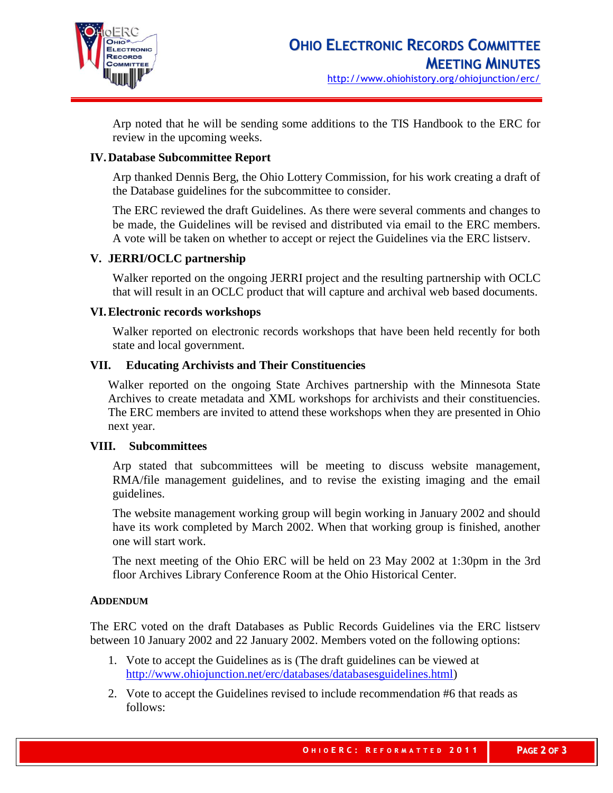

Arp noted that he will be sending some additions to the TIS Handbook to the ERC for review in the upcoming weeks.

#### **IV.Database Subcommittee Report**

Arp thanked Dennis Berg, the Ohio Lottery Commission, for his work creating a draft of the Database guidelines for the subcommittee to consider.

The ERC reviewed the draft Guidelines. As there were several comments and changes to be made, the Guidelines will be revised and distributed via email to the ERC members. A vote will be taken on whether to accept or reject the Guidelines via the ERC listserv.

## **V. JERRI/OCLC partnership**

Walker reported on the ongoing JERRI project and the resulting partnership with OCLC that will result in an OCLC product that will capture and archival web based documents.

#### **VI.Electronic records workshops**

Walker reported on electronic records workshops that have been held recently for both state and local government.

#### **VII. Educating Archivists and Their Constituencies**

Walker reported on the ongoing State Archives partnership with the Minnesota State Archives to create metadata and XML workshops for archivists and their constituencies. The ERC members are invited to attend these workshops when they are presented in Ohio next year.

#### **VIII. Subcommittees**

Arp stated that subcommittees will be meeting to discuss website management, RMA/file management guidelines, and to revise the existing imaging and the email guidelines.

The website management working group will begin working in January 2002 and should have its work completed by March 2002. When that working group is finished, another one will start work.

The next meeting of the Ohio ERC will be held on 23 May 2002 at 1:30pm in the 3rd floor Archives Library Conference Room at the Ohio Historical Center.

#### **ADDENDUM**

The ERC voted on the draft Databases as Public Records Guidelines via the ERC listserv between 10 January 2002 and 22 January 2002. Members voted on the following options:

- 1. Vote to accept the Guidelines as is (The draft guidelines can be viewed at [http://www.ohiojunction.net/erc/databases/databasesguidelines.html\)](http://www.ohiohistoryhost.org/erc/%3Cfont%20size%3D%22-1%22%3Ehttp:/www.ohiojunction.net/erc/databases/databasesguidelines.html%3Ca%20href=%22#top%22%3E%3C/a%3E%3C/font%3E)
- 2. Vote to accept the Guidelines revised to include recommendation #6 that reads as follows: